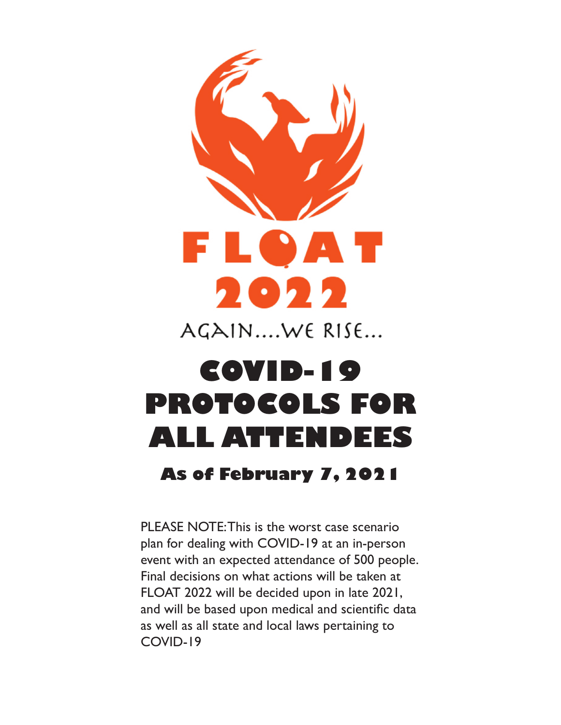

AGAIN....WE RISE...

# **COVID-19 PROTOCOLS FOR ALL ATTENDEES**

# **As of February 7, 2021**

PLEASE NOTE: This is the worst case scenario plan for dealing with COVID-19 at an in-person event with an expected attendance of 500 people. Final decisions on what actions will be taken at FLOAT 2022 will be decided upon in late 2021, and will be based upon medical and scientific data as well as all state and local laws pertaining to COVID-19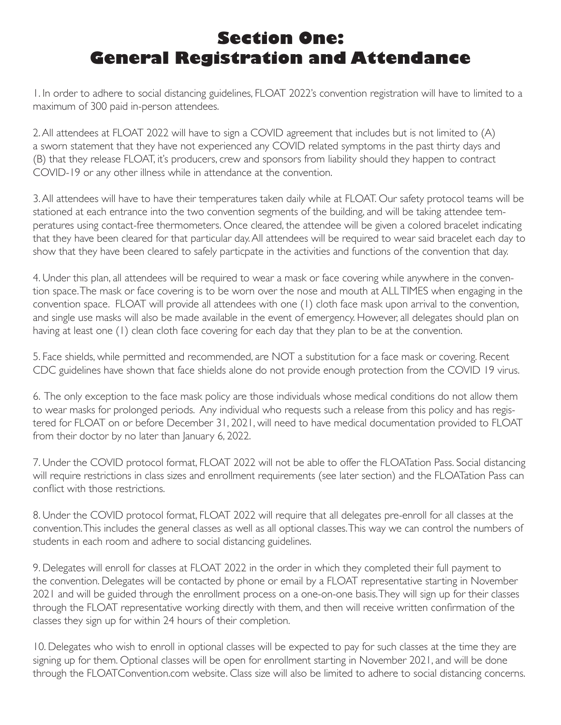# **Section One: General Registration and Attendance**

1. In order to adhere to social distancing guidelines, FLOAT 2022's convention registration will have to limited to a maximum of 300 paid in-person attendees.

2. All attendees at FLOAT 2022 will have to sign a COVID agreement that includes but is not limited to (A) a sworn statement that they have not experienced any COVID related symptoms in the past thirty days and (B) that they release FLOAT, it's producers, crew and sponsors from liability should they happen to contract COVID-19 or any other illness while in attendance at the convention.

3. All attendees will have to have their temperatures taken daily while at FLOAT. Our safety protocol teams will be stationed at each entrance into the two convention segments of the building, and will be taking attendee temperatures using contact-free thermometers. Once cleared, the attendee will be given a colored bracelet indicating that they have been cleared for that particular day. All attendees will be required to wear said bracelet each day to show that they have been cleared to safely particpate in the activities and functions of the convention that day.

4. Under this plan, all attendees will be required to wear a mask or face covering while anywhere in the convention space. The mask or face covering is to be worn over the nose and mouth at ALL TIMES when engaging in the convention space. FLOAT will provide all attendees with one (1) cloth face mask upon arrival to the convention, and single use masks will also be made available in the event of emergency. However, all delegates should plan on having at least one (1) clean cloth face covering for each day that they plan to be at the convention.

5. Face shields, while permitted and recommended, are NOT a substitution for a face mask or covering. Recent CDC guidelines have shown that face shields alone do not provide enough protection from the COVID 19 virus.

6. The only exception to the face mask policy are those individuals whose medical conditions do not allow them to wear masks for prolonged periods. Any individual who requests such a release from this policy and has registered for FLOAT on or before December 31, 2021, will need to have medical documentation provided to FLOAT from their doctor by no later than January 6, 2022.

7. Under the COVID protocol format, FLOAT 2022 will not be able to offer the FLOATation Pass. Social distancing will require restrictions in class sizes and enrollment requirements (see later section) and the FLOATation Pass can conflict with those restrictions.

8. Under the COVID protocol format, FLOAT 2022 will require that all delegates pre-enroll for all classes at the convention. This includes the general classes as well as all optional classes. This way we can control the numbers of students in each room and adhere to social distancing guidelines.

9. Delegates will enroll for classes at FLOAT 2022 in the order in which they completed their full payment to the convention. Delegates will be contacted by phone or email by a FLOAT representative starting in November 2021 and will be guided through the enrollment process on a one-on-one basis. They will sign up for their classes through the FLOAT representative working directly with them, and then will receive written confirmation of the classes they sign up for within 24 hours of their completion.

10. Delegates who wish to enroll in optional classes will be expected to pay for such classes at the time they are signing up for them. Optional classes will be open for enrollment starting in November 2021, and will be done through the FLOATConvention.com website. Class size will also be limited to adhere to social distancing concerns.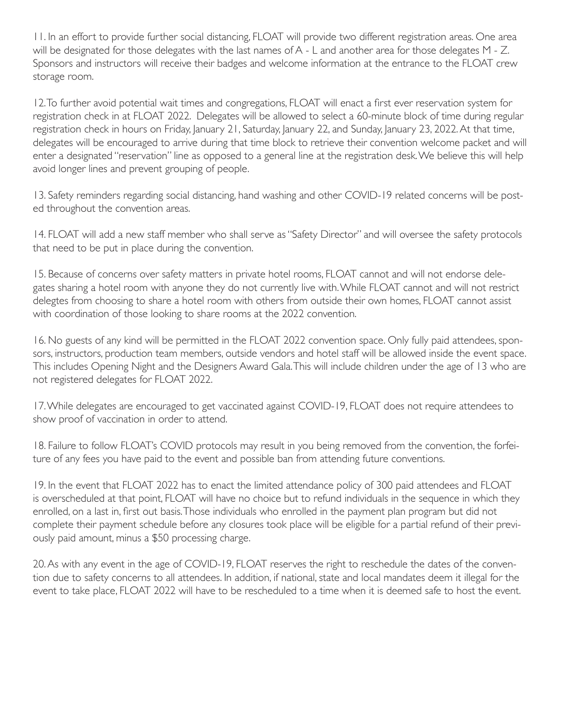11. In an effort to provide further social distancing, FLOAT will provide two different registration areas. One area will be designated for those delegates with the last names of A - L and another area for those delegates M - Z. Sponsors and instructors will receive their badges and welcome information at the entrance to the FLOAT crew storage room.

12. To further avoid potential wait times and congregations, FLOAT will enact a first ever reservation system for registration check in at FLOAT 2022. Delegates will be allowed to select a 60-minute block of time during regular registration check in hours on Friday, January 21, Saturday, January 22, and Sunday, January 23, 2022. At that time, delegates will be encouraged to arrive during that time block to retrieve their convention welcome packet and will enter a designated "reservation" line as opposed to a general line at the registration desk. We believe this will help avoid longer lines and prevent grouping of people.

13. Safety reminders regarding social distancing, hand washing and other COVID-19 related concerns will be posted throughout the convention areas.

14. FLOAT will add a new staff member who shall serve as "Safety Director" and will oversee the safety protocols that need to be put in place during the convention.

15. Because of concerns over safety matters in private hotel rooms, FLOAT cannot and will not endorse delegates sharing a hotel room with anyone they do not currently live with. While FLOAT cannot and will not restrict delegtes from choosing to share a hotel room with others from outside their own homes, FLOAT cannot assist with coordination of those looking to share rooms at the 2022 convention.

16. No guests of any kind will be permitted in the FLOAT 2022 convention space. Only fully paid attendees, sponsors, instructors, production team members, outside vendors and hotel staff will be allowed inside the event space. This includes Opening Night and the Designers Award Gala. This will include children under the age of 13 who are not registered delegates for FLOAT 2022.

17. While delegates are encouraged to get vaccinated against COVID-19, FLOAT does not require attendees to show proof of vaccination in order to attend.

18. Failure to follow FLOAT's COVID protocols may result in you being removed from the convention, the forfeiture of any fees you have paid to the event and possible ban from attending future conventions.

19. In the event that FLOAT 2022 has to enact the limited attendance policy of 300 paid attendees and FLOAT is overscheduled at that point, FLOAT will have no choice but to refund individuals in the sequence in which they enrolled, on a last in, first out basis. Those individuals who enrolled in the payment plan program but did not complete their payment schedule before any closures took place will be eligible for a partial refund of their previously paid amount, minus a \$50 processing charge.

20. As with any event in the age of COVID-19, FLOAT reserves the right to reschedule the dates of the convention due to safety concerns to all attendees. In addition, if national, state and local mandates deem it illegal for the event to take place, FLOAT 2022 will have to be rescheduled to a time when it is deemed safe to host the event.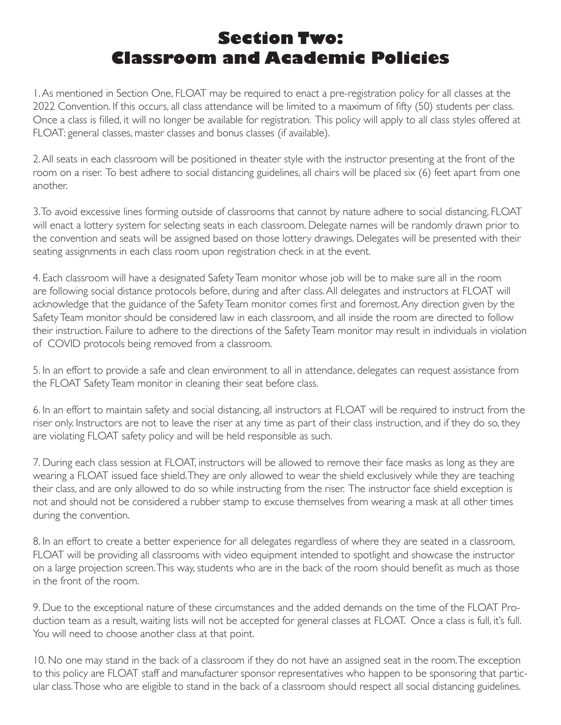## **Section Two: Classroom and Academic Policies**

1. As mentioned in Section One, FLOAT may be required to enact a pre-registration policy for all classes at the 2022 Convention. If this occurs, all class attendance will be limited to a maximum of fifty (50) students per class. Once a class is filled, it will no longer be available for registration. This policy will apply to all class styles offered at FLOAT: general classes, master classes and bonus classes (if available).

2. All seats in each classroom will be positioned in theater style with the instructor presenting at the front of the room on a riser. To best adhere to social distancing guidelines, all chairs will be placed six (6) feet apart from one another.

3. To avoid excessive lines forming outside of classrooms that cannot by nature adhere to social distancing, FLOAT will enact a lottery system for selecting seats in each classroom. Delegate names will be randomly drawn prior to the convention and seats will be assigned based on those lottery drawings. Delegates will be presented with their seating assignments in each class room upon registration check in at the event.

4. Each classroom will have a designated Safety Team monitor whose job will be to make sure all in the room are following social distance protocols before, during and after class. All delegates and instructors at FLOAT will acknowledge that the guidance of the Safety Team monitor comes first and foremost. Any direction given by the Safety Team monitor should be considered law in each classroom, and all inside the room are directed to follow their instruction. Failure to adhere to the directions of the Safety Team monitor may result in individuals in violation of COVID protocols being removed from a classroom.

5. In an effort to provide a safe and clean environment to all in attendance, delegates can request assistance from the FLOAT Safety Team monitor in cleaning their seat before class.

6. In an effort to maintain safety and social distancing, all instructors at FLOAT will be required to instruct from the riser only. Instructors are not to leave the riser at any time as part of their class instruction, and if they do so, they are violating FLOAT safety policy and will be held responsible as such.

7. During each class session at FLOAT, instructors will be allowed to remove their face masks as long as they are wearing a FLOAT issued face shield. They are only allowed to wear the shield exclusively while they are teaching their class, and are only allowed to do so while instructing from the riser. The instructor face shield exception is not and should not be considered a rubber stamp to excuse themselves from wearing a mask at all other times during the convention.

8. In an effort to create a better experience for all delegates regardless of where they are seated in a classroom, FLOAT will be providing all classrooms with video equipment intended to spotlight and showcase the instructor on a large projection screen. This way, students who are in the back of the room should benefit as much as those in the front of the room.

9. Due to the exceptional nature of these circumstances and the added demands on the time of the FLOAT Production team as a result, waiting lists will not be accepted for general classes at FLOAT. Once a class is full, it's full. You will need to choose another class at that point.

10. No one may stand in the back of a classroom if they do not have an assigned seat in the room. The exception to this policy are FLOAT staff and manufacturer sponsor representatives who happen to be sponsoring that particular class. Those who are eligible to stand in the back of a classroom should respect all social distancing guidelines.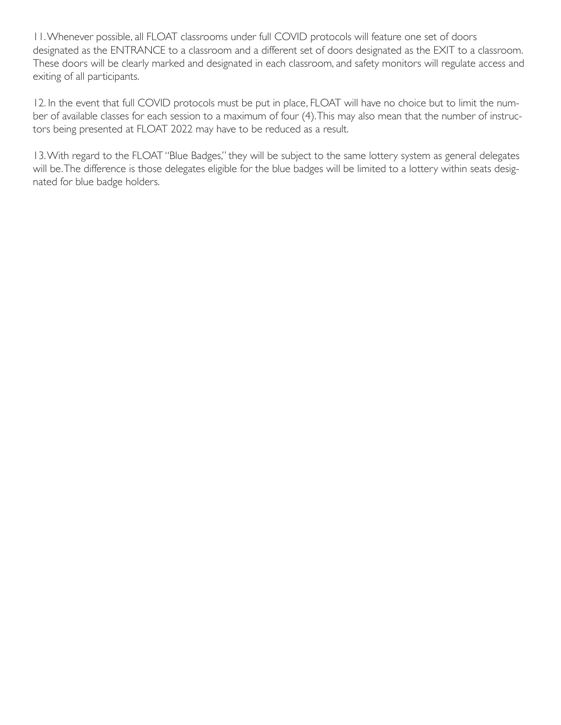11. Whenever possible, all FLOAT classrooms under full COVID protocols will feature one set of doors designated as the ENTRANCE to a classroom and a different set of doors designated as the EXIT to a classroom. These doors will be clearly marked and designated in each classroom, and safety monitors will regulate access and exiting of all participants.

12. In the event that full COVID protocols must be put in place, FLOAT will have no choice but to limit the number of available classes for each session to a maximum of four (4). This may also mean that the number of instructors being presented at FLOAT 2022 may have to be reduced as a result.

13. With regard to the FLOAT "Blue Badges," they will be subject to the same lottery system as general delegates will be. The difference is those delegates eligible for the blue badges will be limited to a lottery within seats designated for blue badge holders.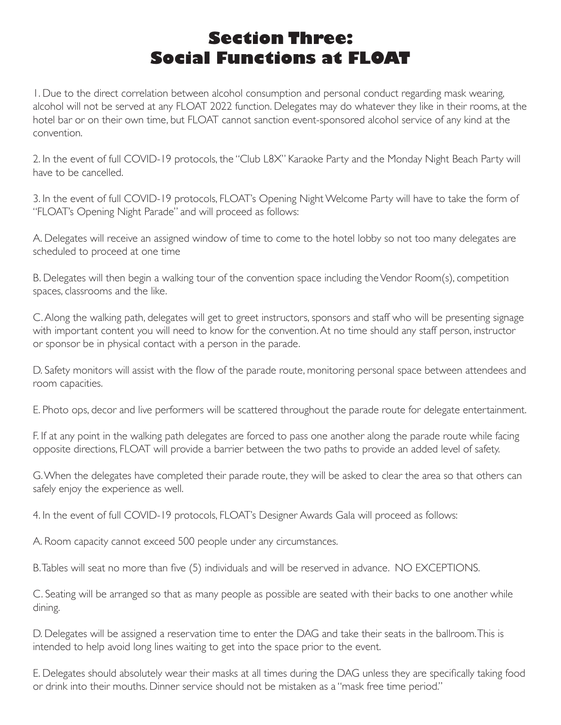#### **Section Three: Social Functions at FLOAT**

1. Due to the direct correlation between alcohol consumption and personal conduct regarding mask wearing, alcohol will not be served at any FLOAT 2022 function. Delegates may do whatever they like in their rooms, at the hotel bar or on their own time, but FLOAT cannot sanction event-sponsored alcohol service of any kind at the convention.

2. In the event of full COVID-19 protocols, the "Club L8X" Karaoke Party and the Monday Night Beach Party will have to be cancelled.

3. In the event of full COVID-19 protocols, FLOAT's Opening Night Welcome Party will have to take the form of "FLOAT's Opening Night Parade" and will proceed as follows:

A. Delegates will receive an assigned window of time to come to the hotel lobby so not too many delegates are scheduled to proceed at one time

B. Delegates will then begin a walking tour of the convention space including the Vendor Room(s), competition spaces, classrooms and the like.

C. Along the walking path, delegates will get to greet instructors, sponsors and staff who will be presenting signage with important content you will need to know for the convention. At no time should any staff person, instructor or sponsor be in physical contact with a person in the parade.

D. Safety monitors will assist with the flow of the parade route, monitoring personal space between attendees and room capacities.

E. Photo ops, decor and live performers will be scattered throughout the parade route for delegate entertainment.

F. If at any point in the walking path delegates are forced to pass one another along the parade route while facing opposite directions, FLOAT will provide a barrier between the two paths to provide an added level of safety.

G. When the delegates have completed their parade route, they will be asked to clear the area so that others can safely enjoy the experience as well.

4. In the event of full COVID-19 protocols, FLOAT's Designer Awards Gala will proceed as follows:

A. Room capacity cannot exceed 500 people under any circumstances.

B. Tables will seat no more than five (5) individuals and will be reserved in advance. NO EXCEPTIONS.

C. Seating will be arranged so that as many people as possible are seated with their backs to one another while dining.

D. Delegates will be assigned a reservation time to enter the DAG and take their seats in the ballroom. This is intended to help avoid long lines waiting to get into the space prior to the event.

E. Delegates should absolutely wear their masks at all times during the DAG unless they are specifically taking food or drink into their mouths. Dinner service should not be mistaken as a "mask free time period."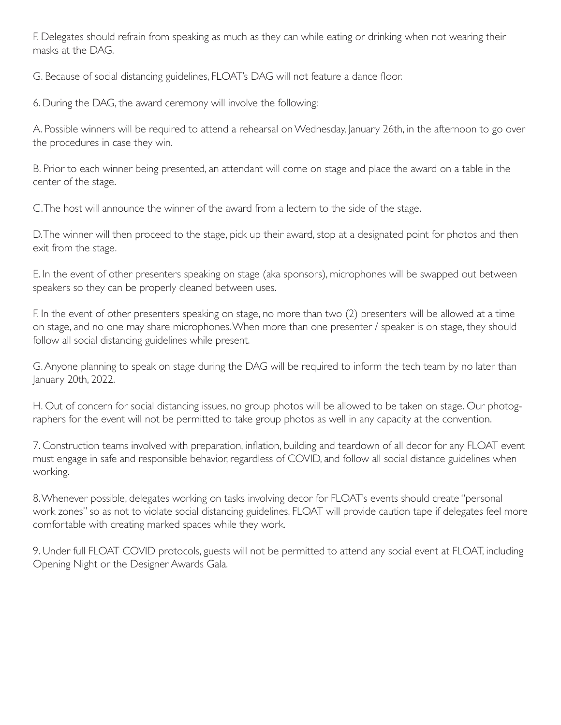F. Delegates should refrain from speaking as much as they can while eating or drinking when not wearing their masks at the DAG.

G. Because of social distancing guidelines, FLOAT's DAG will not feature a dance floor.

6. During the DAG, the award ceremony will involve the following:

A. Possible winners will be required to attend a rehearsal on Wednesday, January 26th, in the afternoon to go over the procedures in case they win.

B. Prior to each winner being presented, an attendant will come on stage and place the award on a table in the center of the stage.

C. The host will announce the winner of the award from a lectern to the side of the stage.

D. The winner will then proceed to the stage, pick up their award, stop at a designated point for photos and then exit from the stage.

E. In the event of other presenters speaking on stage (aka sponsors), microphones will be swapped out between speakers so they can be properly cleaned between uses.

F. In the event of other presenters speaking on stage, no more than two (2) presenters will be allowed at a time on stage, and no one may share microphones. When more than one presenter / speaker is on stage, they should follow all social distancing guidelines while present.

G. Anyone planning to speak on stage during the DAG will be required to inform the tech team by no later than January 20th, 2022.

H. Out of concern for social distancing issues, no group photos will be allowed to be taken on stage. Our photographers for the event will not be permitted to take group photos as well in any capacity at the convention.

7. Construction teams involved with preparation, inflation, building and teardown of all decor for any FLOAT event must engage in safe and responsible behavior, regardless of COVID, and follow all social distance guidelines when working.

8. Whenever possible, delegates working on tasks involving decor for FLOAT's events should create "personal work zones" so as not to violate social distancing guidelines. FLOAT will provide caution tape if delegates feel more comfortable with creating marked spaces while they work.

9. Under full FLOAT COVID protocols, guests will not be permitted to attend any social event at FLOAT, including Opening Night or the Designer Awards Gala.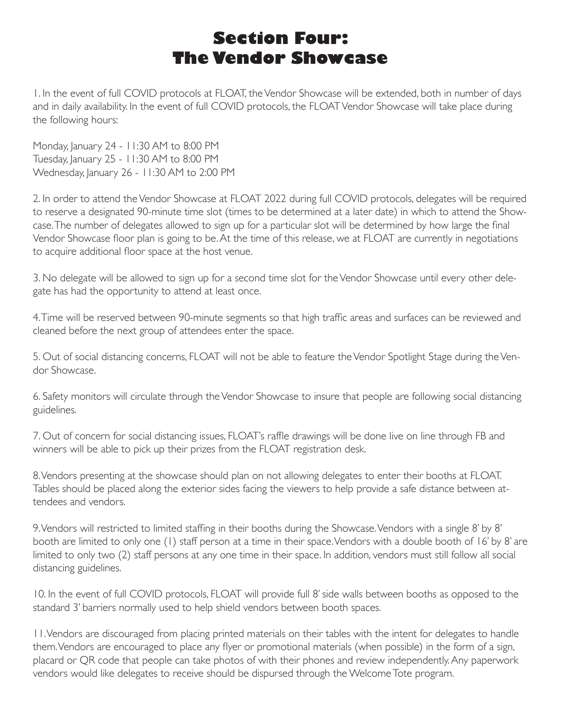#### **Section Four: The Vendor Showcase**

1. In the event of full COVID protocols at FLOAT, the Vendor Showcase will be extended, both in number of days and in daily availability. In the event of full COVID protocols, the FLOAT Vendor Showcase will take place during the following hours:

Monday, January 24 - 11:30 AM to 8:00 PM Tuesday, January 25 - 11:30 AM to 8:00 PM Wednesday, January 26 - 11:30 AM to 2:00 PM

2. In order to attend the Vendor Showcase at FLOAT 2022 during full COVID protocols, delegates will be required to reserve a designated 90-minute time slot (times to be determined at a later date) in which to attend the Showcase. The number of delegates allowed to sign up for a particular slot will be determined by how large the final Vendor Showcase floor plan is going to be. At the time of this release, we at FLOAT are currently in negotiations to acquire additional floor space at the host venue.

3. No delegate will be allowed to sign up for a second time slot for the Vendor Showcase until every other delegate has had the opportunity to attend at least once.

4. Time will be reserved between 90-minute segments so that high traffic areas and surfaces can be reviewed and cleaned before the next group of attendees enter the space.

5. Out of social distancing concerns, FLOAT will not be able to feature the Vendor Spotlight Stage during the Vendor Showcase.

6. Safety monitors will circulate through the Vendor Showcase to insure that people are following social distancing guidelines.

7. Out of concern for social distancing issues, FLOAT's raffle drawings will be done live on line through FB and winners will be able to pick up their prizes from the FLOAT registration desk.

8. Vendors presenting at the showcase should plan on not allowing delegates to enter their booths at FLOAT. Tables should be placed along the exterior sides facing the viewers to help provide a safe distance between attendees and vendors.

9. Vendors will restricted to limited staffing in their booths during the Showcase. Vendors with a single 8' by 8' booth are limited to only one (1) staff person at a time in their space. Vendors with a double booth of 16' by 8' are limited to only two (2) staff persons at any one time in their space. In addition, vendors must still follow all social distancing guidelines.

10. In the event of full COVID protocols, FLOAT will provide full 8' side walls between booths as opposed to the standard 3' barriers normally used to help shield vendors between booth spaces.

11. Vendors are discouraged from placing printed materials on their tables with the intent for delegates to handle them. Vendors are encouraged to place any flyer or promotional materials (when possible) in the form of a sign, placard or QR code that people can take photos of with their phones and review independently. Any paperwork vendors would like delegates to receive should be dispursed through the Welcome Tote program.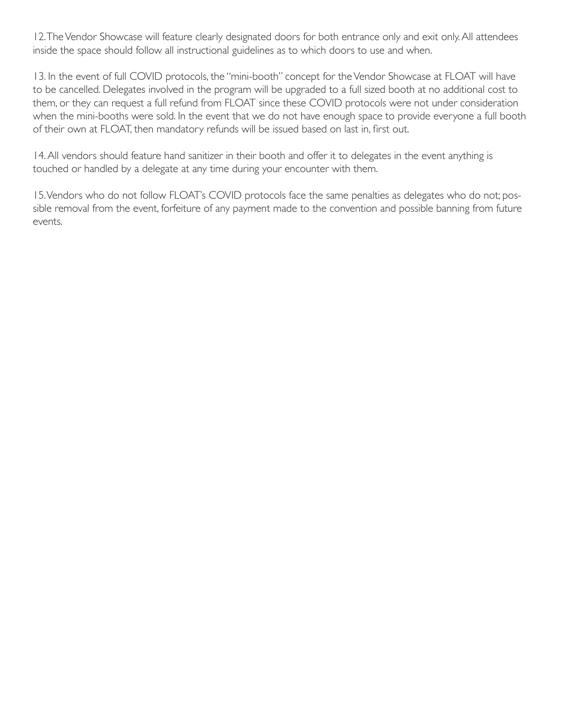12. The Vendor Showcase will feature clearly designated doors for both entrance only and exit only. All attendees inside the space should follow all instructional guidelines as to which doors to use and when.

13. In the event of full COVID protocols, the "mini-booth" concept for the Vendor Showcase at FLOAT will have to be cancelled. Delegates involved in the program will be upgraded to a full sized booth at no additional cost to them, or they can request a full refund from FLOAT since these COVID protocols were not under consideration when the mini-booths were sold. In the event that we do not have enough space to provide everyone a full booth of their own at FLOAT, then mandatory refunds will be issued based on last in, first out.

14. All vendors should feature hand sanitizer in their booth and offer it to delegates in the event anything is touched or handled by a delegate at any time during your encounter with them.

15. Vendors who do not follow FLOAT's COVID protocols face the same penalties as delegates who do not; possible removal from the event, forfeiture of any payment made to the convention and possible banning from future events.